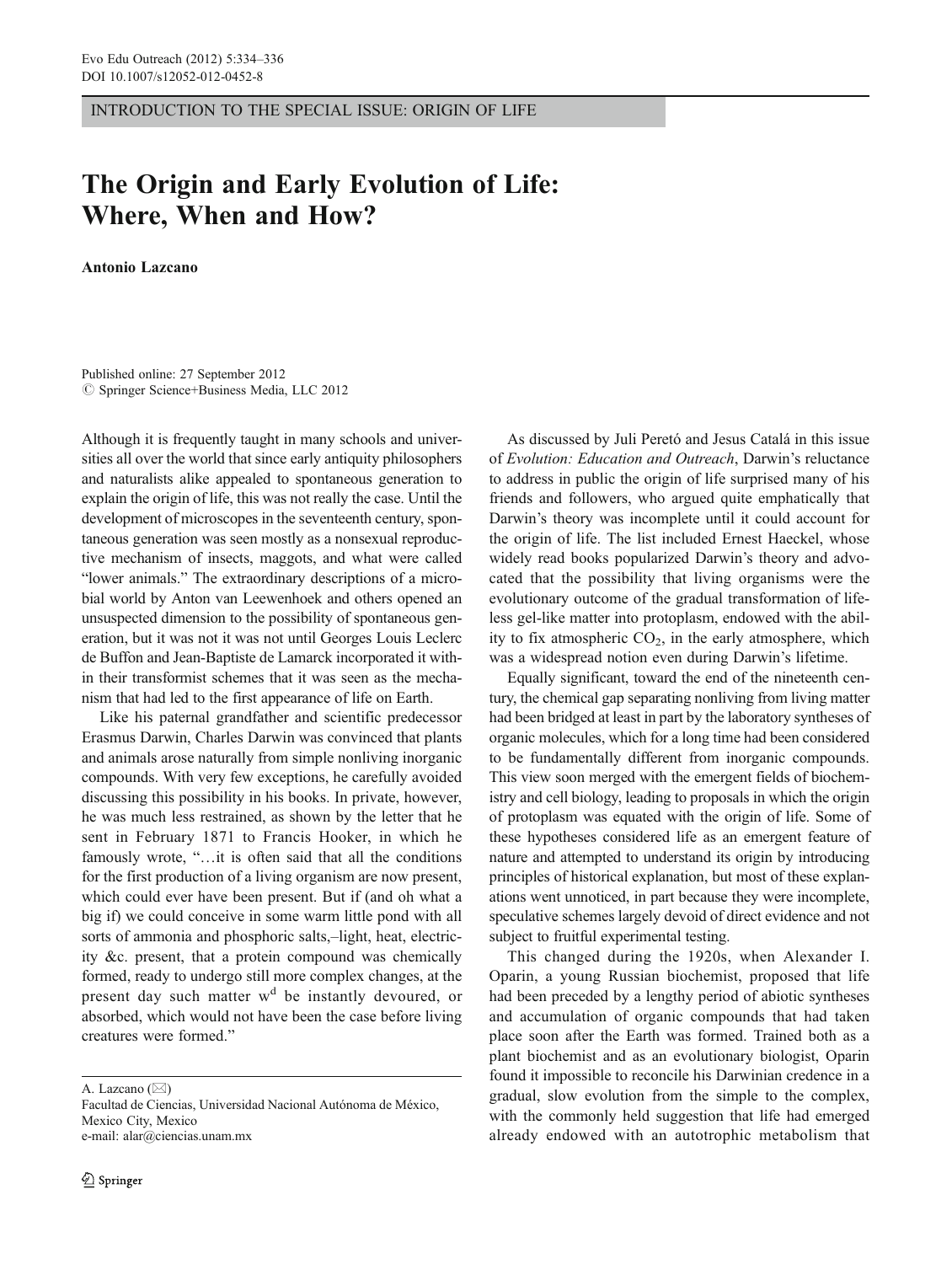INTRODUCTION TO THE SPECIAL ISSUE: ORIGIN OF LIFE

## The Origin and Early Evolution of Life: Where, When and How?

Antonio Lazcano

Published online: 27 September 2012  $\circledcirc$  Springer Science+Business Media, LLC 2012

Although it is frequently taught in many schools and universities all over the world that since early antiquity philosophers and naturalists alike appealed to spontaneous generation to explain the origin of life, this was not really the case. Until the development of microscopes in the seventeenth century, spontaneous generation was seen mostly as a nonsexual reproductive mechanism of insects, maggots, and what were called "lower animals." The extraordinary descriptions of a microbial world by Anton van Leewenhoek and others opened an unsuspected dimension to the possibility of spontaneous generation, but it was not it was not until Georges Louis Leclerc de Buffon and Jean-Baptiste de Lamarck incorporated it within their transformist schemes that it was seen as the mechanism that had led to the first appearance of life on Earth.

Like his paternal grandfather and scientific predecessor Erasmus Darwin, Charles Darwin was convinced that plants and animals arose naturally from simple nonliving inorganic compounds. With very few exceptions, he carefully avoided discussing this possibility in his books. In private, however, he was much less restrained, as shown by the letter that he sent in February 1871 to Francis Hooker, in which he famously wrote, "…it is often said that all the conditions for the first production of a living organism are now present, which could ever have been present. But if (and oh what a big if) we could conceive in some warm little pond with all sorts of ammonia and phosphoric salts,–light, heat, electricity &c. present, that a protein compound was chemically formed, ready to undergo still more complex changes, at the present day such matter  $w<sup>d</sup>$  be instantly devoured, or absorbed, which would not have been the case before living creatures were formed."

A. Lazcano  $(\boxtimes)$ 

Facultad de Ciencias, Universidad Nacional Autónoma de México, Mexico City, Mexico e-mail: alar@ciencias.unam.mx

As discussed by Juli Peretó and Jesus Catalá in this issue of Evolution: Education and Outreach, Darwin's reluctance to address in public the origin of life surprised many of his friends and followers, who argued quite emphatically that Darwin's theory was incomplete until it could account for the origin of life. The list included Ernest Haeckel, whose widely read books popularized Darwin's theory and advocated that the possibility that living organisms were the evolutionary outcome of the gradual transformation of lifeless gel-like matter into protoplasm, endowed with the ability to fix atmospheric  $CO<sub>2</sub>$ , in the early atmosphere, which was a widespread notion even during Darwin's lifetime.

Equally significant, toward the end of the nineteenth century, the chemical gap separating nonliving from living matter had been bridged at least in part by the laboratory syntheses of organic molecules, which for a long time had been considered to be fundamentally different from inorganic compounds. This view soon merged with the emergent fields of biochemistry and cell biology, leading to proposals in which the origin of protoplasm was equated with the origin of life. Some of these hypotheses considered life as an emergent feature of nature and attempted to understand its origin by introducing principles of historical explanation, but most of these explanations went unnoticed, in part because they were incomplete, speculative schemes largely devoid of direct evidence and not subject to fruitful experimental testing.

This changed during the 1920s, when Alexander I. Oparin, a young Russian biochemist, proposed that life had been preceded by a lengthy period of abiotic syntheses and accumulation of organic compounds that had taken place soon after the Earth was formed. Trained both as a plant biochemist and as an evolutionary biologist, Oparin found it impossible to reconcile his Darwinian credence in a gradual, slow evolution from the simple to the complex, with the commonly held suggestion that life had emerged already endowed with an autotrophic metabolism that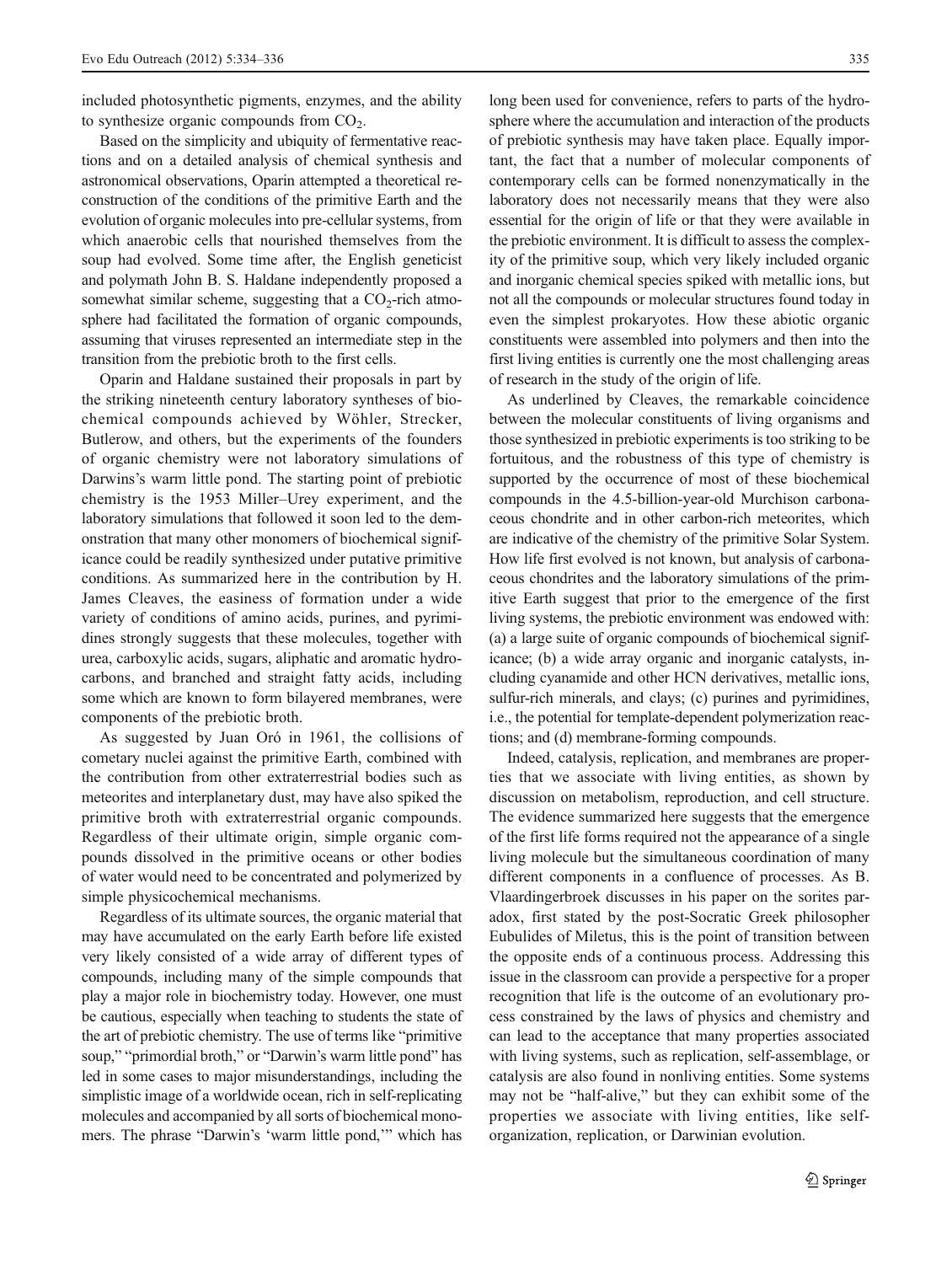included photosynthetic pigments, enzymes, and the ability to synthesize organic compounds from  $CO<sub>2</sub>$ .

Based on the simplicity and ubiquity of fermentative reactions and on a detailed analysis of chemical synthesis and astronomical observations, Oparin attempted a theoretical reconstruction of the conditions of the primitive Earth and the evolution of organic molecules into pre-cellular systems, from which anaerobic cells that nourished themselves from the soup had evolved. Some time after, the English geneticist and polymath John B. S. Haldane independently proposed a somewhat similar scheme, suggesting that a  $CO<sub>2</sub>$ -rich atmosphere had facilitated the formation of organic compounds, assuming that viruses represented an intermediate step in the transition from the prebiotic broth to the first cells.

Oparin and Haldane sustained their proposals in part by the striking nineteenth century laboratory syntheses of biochemical compounds achieved by Wöhler, Strecker, Butlerow, and others, but the experiments of the founders of organic chemistry were not laboratory simulations of Darwins's warm little pond. The starting point of prebiotic chemistry is the 1953 Miller–Urey experiment, and the laboratory simulations that followed it soon led to the demonstration that many other monomers of biochemical significance could be readily synthesized under putative primitive conditions. As summarized here in the contribution by H. James Cleaves, the easiness of formation under a wide variety of conditions of amino acids, purines, and pyrimidines strongly suggests that these molecules, together with urea, carboxylic acids, sugars, aliphatic and aromatic hydrocarbons, and branched and straight fatty acids, including some which are known to form bilayered membranes, were components of the prebiotic broth.

As suggested by Juan Oró in 1961, the collisions of cometary nuclei against the primitive Earth, combined with the contribution from other extraterrestrial bodies such as meteorites and interplanetary dust, may have also spiked the primitive broth with extraterrestrial organic compounds. Regardless of their ultimate origin, simple organic compounds dissolved in the primitive oceans or other bodies of water would need to be concentrated and polymerized by simple physicochemical mechanisms.

Regardless of its ultimate sources, the organic material that may have accumulated on the early Earth before life existed very likely consisted of a wide array of different types of compounds, including many of the simple compounds that play a major role in biochemistry today. However, one must be cautious, especially when teaching to students the state of the art of prebiotic chemistry. The use of terms like "primitive soup," "primordial broth," or "Darwin's warm little pond" has led in some cases to major misunderstandings, including the simplistic image of a worldwide ocean, rich in self-replicating molecules and accompanied by all sorts of biochemical monomers. The phrase "Darwin's 'warm little pond,'" which has

long been used for convenience, refers to parts of the hydrosphere where the accumulation and interaction of the products of prebiotic synthesis may have taken place. Equally important, the fact that a number of molecular components of contemporary cells can be formed nonenzymatically in the laboratory does not necessarily means that they were also essential for the origin of life or that they were available in the prebiotic environment. It is difficult to assess the complexity of the primitive soup, which very likely included organic and inorganic chemical species spiked with metallic ions, but not all the compounds or molecular structures found today in even the simplest prokaryotes. How these abiotic organic constituents were assembled into polymers and then into the first living entities is currently one the most challenging areas of research in the study of the origin of life.

As underlined by Cleaves, the remarkable coincidence between the molecular constituents of living organisms and those synthesized in prebiotic experiments is too striking to be fortuitous, and the robustness of this type of chemistry is supported by the occurrence of most of these biochemical compounds in the 4.5-billion-year-old Murchison carbonaceous chondrite and in other carbon-rich meteorites, which are indicative of the chemistry of the primitive Solar System. How life first evolved is not known, but analysis of carbonaceous chondrites and the laboratory simulations of the primitive Earth suggest that prior to the emergence of the first living systems, the prebiotic environment was endowed with: (a) a large suite of organic compounds of biochemical significance; (b) a wide array organic and inorganic catalysts, including cyanamide and other HCN derivatives, metallic ions, sulfur-rich minerals, and clays; (c) purines and pyrimidines, i.e., the potential for template-dependent polymerization reactions; and (d) membrane-forming compounds.

Indeed, catalysis, replication, and membranes are properties that we associate with living entities, as shown by discussion on metabolism, reproduction, and cell structure. The evidence summarized here suggests that the emergence of the first life forms required not the appearance of a single living molecule but the simultaneous coordination of many different components in a confluence of processes. As B. Vlaardingerbroek discusses in his paper on the sorites paradox, first stated by the post-Socratic Greek philosopher Eubulides of Miletus, this is the point of transition between the opposite ends of a continuous process. Addressing this issue in the classroom can provide a perspective for a proper recognition that life is the outcome of an evolutionary process constrained by the laws of physics and chemistry and can lead to the acceptance that many properties associated with living systems, such as replication, self-assemblage, or catalysis are also found in nonliving entities. Some systems may not be "half-alive," but they can exhibit some of the properties we associate with living entities, like selforganization, replication, or Darwinian evolution.